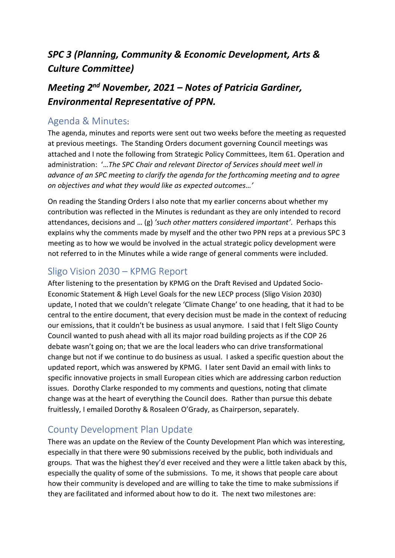# *SPC 3 (Planning, Community & Economic Development, Arts & Culture Committee)*

# *Meeting 2 nd November, 2021 – Notes of Patricia Gardiner, Environmental Representative of PPN.*

#### Agenda & Minutes:

The agenda, minutes and reports were sent out two weeks before the meeting as requested at previous meetings. The Standing Orders document governing Council meetings was attached and I note the following from Strategic Policy Committees, Item 61. Operation and administration: '…*The SPC Chair and relevant Director of Services should meet well in advance of an SPC meeting to clarify the agenda for the forthcoming meeting and to agree on objectives and what they would like as expected outcomes…'*

On reading the Standing Orders I also note that my earlier concerns about whether my contribution was reflected in the Minutes is redundant as they are only intended to record attendances, decisions and … (g) *'such other matters considered important'*. Perhaps this explains why the comments made by myself and the other two PPN reps at a previous SPC 3 meeting as to how we would be involved in the actual strategic policy development were not referred to in the Minutes while a wide range of general comments were included.

#### Sligo Vision 2030 – KPMG Report

After listening to the presentation by KPMG on the Draft Revised and Updated Socio-Economic Statement & High Level Goals for the new LECP process (Sligo Vision 2030) update, I noted that we couldn't relegate 'Climate Change' to one heading, that it had to be central to the entire document, that every decision must be made in the context of reducing our emissions, that it couldn't be business as usual anymore. I said that I felt Sligo County Council wanted to push ahead with all its major road building projects as if the COP 26 debate wasn't going on; that we are the local leaders who can drive transformational change but not if we continue to do business as usual. I asked a specific question about the updated report, which was answered by KPMG. I later sent David an email with links to specific innovative projects in small European cities which are addressing carbon reduction issues. Dorothy Clarke responded to my comments and questions, noting that climate change was at the heart of everything the Council does. Rather than pursue this debate fruitlessly, I emailed Dorothy & Rosaleen O'Grady, as Chairperson, separately.

### County Development Plan Update

There was an update on the Review of the County Development Plan which was interesting, especially in that there were 90 submissions received by the public, both individuals and groups. That was the highest they'd ever received and they were a little taken aback by this, especially the quality of some of the submissions. To me, it shows that people care about how their community is developed and are willing to take the time to make submissions if they are facilitated and informed about how to do it. The next two milestones are: